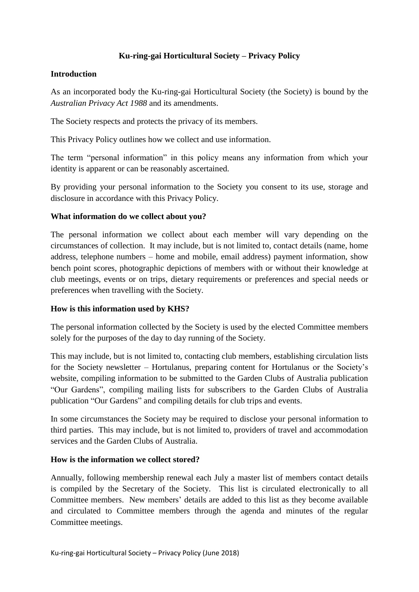# **Ku-ring-gai Horticultural Society – Privacy Policy**

### **Introduction**

As an incorporated body the Ku-ring-gai Horticultural Society (the Society) is bound by the *Australian Privacy Act 1988* and its amendments.

The Society respects and protects the privacy of its members.

This Privacy Policy outlines how we collect and use information.

The term "personal information" in this policy means any information from which your identity is apparent or can be reasonably ascertained.

By providing your personal information to the Society you consent to its use, storage and disclosure in accordance with this Privacy Policy.

### **What information do we collect about you?**

The personal information we collect about each member will vary depending on the circumstances of collection. It may include, but is not limited to, contact details (name, home address, telephone numbers – home and mobile, email address) payment information, show bench point scores, photographic depictions of members with or without their knowledge at club meetings, events or on trips, dietary requirements or preferences and special needs or preferences when travelling with the Society.

#### **How is this information used by KHS?**

The personal information collected by the Society is used by the elected Committee members solely for the purposes of the day to day running of the Society.

This may include, but is not limited to, contacting club members, establishing circulation lists for the Society newsletter – Hortulanus, preparing content for Hortulanus or the Society's website, compiling information to be submitted to the Garden Clubs of Australia publication "Our Gardens", compiling mailing lists for subscribers to the Garden Clubs of Australia publication "Our Gardens" and compiling details for club trips and events.

In some circumstances the Society may be required to disclose your personal information to third parties. This may include, but is not limited to, providers of travel and accommodation services and the Garden Clubs of Australia.

#### **How is the information we collect stored?**

Annually, following membership renewal each July a master list of members contact details is compiled by the Secretary of the Society. This list is circulated electronically to all Committee members. New members' details are added to this list as they become available and circulated to Committee members through the agenda and minutes of the regular Committee meetings.